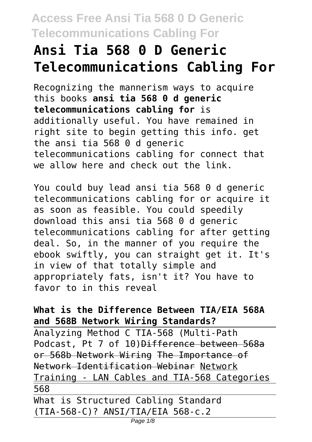# **Ansi Tia 568 0 D Generic Telecommunications Cabling For**

Recognizing the mannerism ways to acquire this books **ansi tia 568 0 d generic telecommunications cabling for** is additionally useful. You have remained in right site to begin getting this info. get the ansi tia 568 0 d generic telecommunications cabling for connect that we allow here and check out the link.

You could buy lead ansi tia 568 0 d generic telecommunications cabling for or acquire it as soon as feasible. You could speedily download this ansi tia 568 0 d generic telecommunications cabling for after getting deal. So, in the manner of you require the ebook swiftly, you can straight get it. It's in view of that totally simple and appropriately fats, isn't it? You have to favor to in this reveal

#### **What is the Difference Between TIA/EIA 568A and 568B Network Wiring Standards?**

Analyzing Method C TIA-568 (Multi-Path Podcast, Pt 7 of 10) Difference between 568a or 568b Network Wiring The Importance of Network Identification Webinar Network Training - LAN Cables and TIA-568 Categories 568

What is Structured Cabling Standard (TIA-568-C)? ANSI/TIA/EIA 568-c.2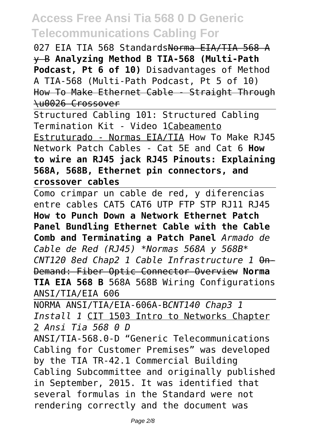027 EIA TIA 568 StandardsNorma EIA/TIA 568 A y B **Analyzing Method B TIA-568 (Multi-Path Podcast, Pt 6 of 10)** Disadvantages of Method A TIA-568 (Multi-Path Podcast, Pt 5 of 10) How To Make Ethernet Cable - Straight Through \u0026 Crossover

Structured Cabling 101: Structured Cabling Termination Kit - Video 1Cabeamento Estruturado - Normas EIA/TIA How To Make RJ45 Network Patch Cables - Cat 5E and Cat 6 **How to wire an RJ45 jack RJ45 Pinouts: Explaining 568A, 568B, Ethernet pin connectors, and crossover cables**

Como crimpar un cable de red, y diferencias entre cables CAT5 CAT6 UTP FTP STP RJ11 RJ45 **How to Punch Down a Network Ethernet Patch Panel Bundling Ethernet Cable with the Cable Comb and Terminating a Patch Panel** *Armado de Cable de Red (RJ45) \*Normas 568A y 568B\* CNT120 8ed Chap2 1 Cable Infrastructure 1* On-Demand: Fiber Optic Connector Overview **Norma TIA EIA 568 B** 568A 568B Wiring Configurations ANSI/TIA/EIA 606

NORMA ANSI/TIA/EIA-606A-B*CNT140 Chap3 1 Install 1* CIT 1503 Intro to Networks Chapter 2 *Ansi Tia 568 0 D* ANSI/TIA-568.0-D "Generic Telecommunications Cabling for Customer Premises" was developed by the TIA TR-42.1 Commercial Building Cabling Subcommittee and originally published in September, 2015. It was identified that several formulas in the Standard were not rendering correctly and the document was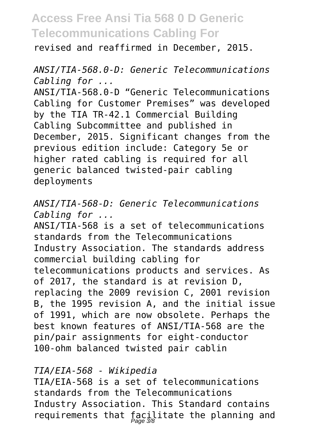revised and reaffirmed in December, 2015.

*ANSI/TIA-568.0-D: Generic Telecommunications Cabling for ...*

ANSI/TIA-568.0-D "Generic Telecommunications Cabling for Customer Premises" was developed by the TIA TR-42.1 Commercial Building Cabling Subcommittee and published in December, 2015. Significant changes from the previous edition include: Category 5e or higher rated cabling is required for all generic balanced twisted-pair cabling deployments

*ANSI/TIA-568-D: Generic Telecommunications Cabling for ...* ANSI/TIA-568 is a set of telecommunications standards from the Telecommunications Industry Association. The standards address commercial building cabling for telecommunications products and services. As of 2017, the standard is at revision D, replacing the 2009 revision C, 2001 revision B, the 1995 revision A, and the initial issue of 1991, which are now obsolete. Perhaps the best known features of ANSI/TIA-568 are the pin/pair assignments for eight-conductor 100-ohm balanced twisted pair cablin

#### *TIA/EIA-568 - Wikipedia*

TIA/EIA-568 is a set of telecommunications standards from the Telecommunications Industry Association. This Standard contains requirements that facilitate the planning and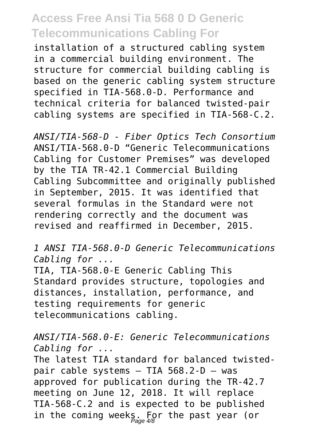installation of a structured cabling system in a commercial building environment. The structure for commercial building cabling is based on the generic cabling system structure specified in TIA-568.0-D. Performance and technical criteria for balanced twisted-pair cabling systems are specified in TIA-568-C.2.

*ANSI/TIA-568-D - Fiber Optics Tech Consortium* ANSI/TIA-568.0-D "Generic Telecommunications Cabling for Customer Premises" was developed by the TIA TR-42.1 Commercial Building Cabling Subcommittee and originally published in September, 2015. It was identified that several formulas in the Standard were not rendering correctly and the document was revised and reaffirmed in December, 2015.

*1 ANSI TIA-568.0-D Generic Telecommunications Cabling for ...*

TIA, TIA-568.0-E Generic Cabling This Standard provides structure, topologies and distances, installation, performance, and testing requirements for generic telecommunications cabling.

*ANSI/TIA-568.0-E: Generic Telecommunications Cabling for ...*

The latest TIA standard for balanced twistedpair cable systems – TIA 568.2-D – was approved for publication during the TR-42.7 meeting on June 12, 2018. It will replace TIA-568-C.2 and is expected to be published in the coming weeks. For the past year (or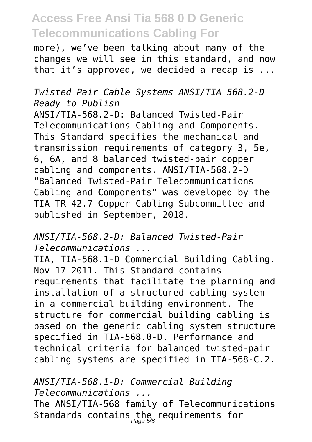more), we've been talking about many of the changes we will see in this standard, and now that it's approved, we decided a recap is ...

#### *Twisted Pair Cable Systems ANSI/TIA 568.2-D Ready to Publish*

ANSI/TIA-568.2-D: Balanced Twisted-Pair Telecommunications Cabling and Components. This Standard specifies the mechanical and transmission requirements of category 3, 5e, 6, 6A, and 8 balanced twisted-pair copper cabling and components. ANSI/TIA-568.2-D "Balanced Twisted-Pair Telecommunications Cabling and Components" was developed by the TIA TR-42.7 Copper Cabling Subcommittee and published in September, 2018.

#### *ANSI/TIA-568.2-D: Balanced Twisted-Pair Telecommunications ...*

TIA, TIA-568.1-D Commercial Building Cabling. Nov 17 2011. This Standard contains requirements that facilitate the planning and installation of a structured cabling system in a commercial building environment. The structure for commercial building cabling is based on the generic cabling system structure specified in TIA-568.0-D. Performance and technical criteria for balanced twisted-pair cabling systems are specified in TIA-568-C.2.

*ANSI/TIA-568.1-D: Commercial Building Telecommunications ...* The ANSI/TIA-568 family of Telecommunications Standards contains the requirements for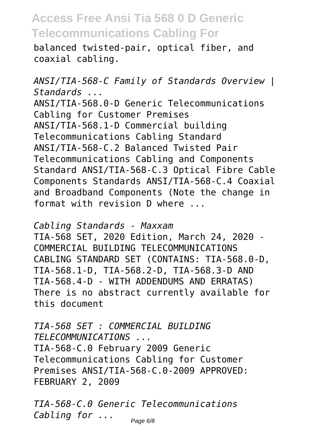balanced twisted-pair, optical fiber, and coaxial cabling.

*ANSI/TIA-568-C Family of Standards Overview | Standards ...* ANSI/TIA-568.0-D Generic Telecommunications Cabling for Customer Premises ANSI/TIA-568.1-D Commercial building Telecommunications Cabling Standard ANSI/TIA-568-C.2 Balanced Twisted Pair Telecommunications Cabling and Components Standard ANSI/TIA-568-C.3 Optical Fibre Cable Components Standards ANSI/TIA-568-C.4 Coaxial and Broadband Components (Note the change in format with revision D where ...

*Cabling Standards - Maxxam* TIA-568 SET, 2020 Edition, March 24, 2020 - COMMERCIAL BUILDING TELECOMMUNICATIONS CABLING STANDARD SET (CONTAINS: TIA-568.0-D, TIA-568.1-D, TIA-568.2-D, TIA-568.3-D AND TIA-568.4-D - WITH ADDENDUMS AND ERRATAS) There is no abstract currently available for this document

*TIA-568 SET : COMMERCIAL BUILDING TELECOMMUNICATIONS ...* TIA-568-C.0 February 2009 Generic Telecommunications Cabling for Customer Premises ANSI/TIA-568-C.0-2009 APPROVED: FEBRUARY 2, 2009

*TIA-568-C.0 Generic Telecommunications Cabling for ...*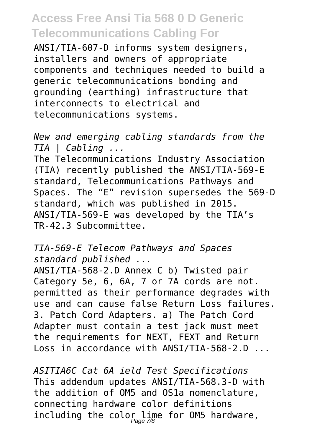ANSI/TIA-607-D informs system designers, installers and owners of appropriate components and techniques needed to build a generic telecommunications bonding and grounding (earthing) infrastructure that interconnects to electrical and telecommunications systems.

*New and emerging cabling standards from the TIA | Cabling ...* The Telecommunications Industry Association (TIA) recently published the ANSI/TIA-569-E standard, Telecommunications Pathways and Spaces. The "E" revision supersedes the 569-D standard, which was published in 2015. ANSI/TIA-569-E was developed by the TIA's TR-42.3 Subcommittee.

*TIA-569-E Telecom Pathways and Spaces standard published ...*

ANSI/TIA-568-2.D Annex C b) Twisted pair Category 5e, 6, 6A, 7 or 7A cords are not. permitted as their performance degrades with use and can cause false Return Loss failures. 3. Patch Cord Adapters. a) The Patch Cord Adapter must contain a test jack must meet the requirements for NEXT, FEXT and Return Loss in accordance with ANSI/TIA-568-2.D ...

*ASITIA6C Cat 6A ield Test Specifications* This addendum updates ANSI/TIA-568.3-D with the addition of OM5 and OS1a nomenclature, connecting hardware color definitions including the color  $\lim\limits_{\substack{\text{Page 7/8}}}$  for <code>OM5</code> hardware,